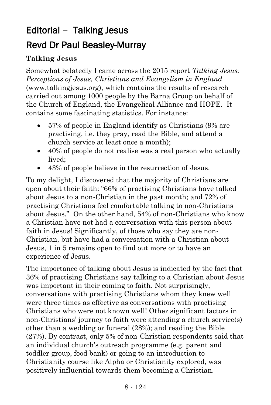# Editorial – Talking Jesus Revd Dr Paul Beasley-Murray

#### **Talking Jesus**

Somewhat belatedly I came across the 2015 report *Talking Jesus: Perceptions of Jesus, Christians and Evangelism in England* (www.talkingjesus.org), which contains the results of research carried out among 1000 people by the Barna Group on behalf of the Church of England, the Evangelical Alliance and HOPE. It contains some fascinating statistics. For instance:

- 57% of people in England identify as Christians (9% are practising, i.e. they pray, read the Bible, and attend a church service at least once a month);
- 40% of people do not realise was a real person who actually lived;
- 43% of people believe in the resurrection of Jesus.

To my delight, I discovered that the majority of Christians are open about their faith: "66% of practising Christians have talked about Jesus to a non-Christian in the past month; and 72% of practising Christians feel comfortable talking to non-Christians about Jesus." On the other hand, 54% of non-Christians who know a Christian have not had a conversation with this person about faith in Jesus! Significantly, of those who say they are non-Christian, but have had a conversation with a Christian about Jesus, 1 in 5 remains open to find out more or to have an experience of Jesus.

The importance of talking about Jesus is indicated by the fact that 36% of practising Christians say talking to a Christian about Jesus was important in their coming to faith. Not surprisingly, conversations with practising Christians whom they knew well were three times as effective as conversations with practising Christians who were not known well! Other significant factors in non-Christians' journey to faith were attending a church service(s) other than a wedding or funeral (28%); and reading the Bible (27%). By contrast, only 5% of non-Christian respondents said that an individual church's outreach programme (e.g. parent and toddler group, food bank) or going to an introduction to Christianity course like Alpha or Christianity explored, was positively influential towards them becoming a Christian.